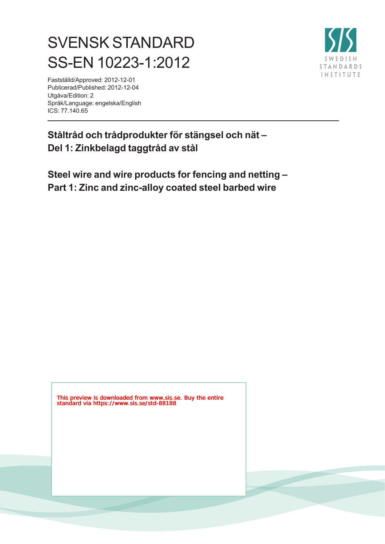# SVENSK STANDARD SS-EN 10223-1:2012

Fastställd/Approved: 2012-12-01 Publicerad/Published: 2012-12-04 Utgåva/Edition: 2 Språk/Language: engelska/English ICS: 77.140.65



**Ståltråd och trådprodukter för stängsel och nät – Del 1: Zinkbelagd taggtråd av stål**

**Steel wire and wire products for fencing and netting – Part 1: Zinc and zinc-alloy coated steel barbed wire**

This preview is downloaded from www.sis.se. Buy the entire standard via https://www.sis.se/std-88188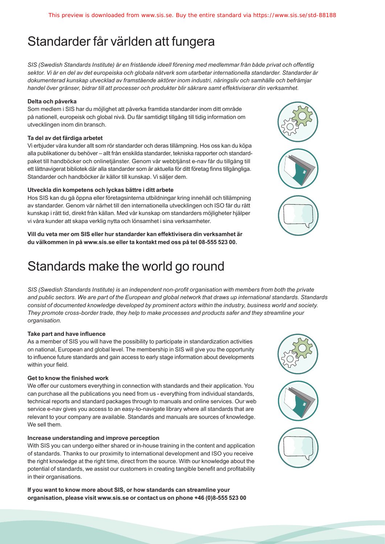## Standarder får världen att fungera

*SIS (Swedish Standards Institute) är en fristående ideell förening med medlemmar från både privat och offentlig sektor. Vi är en del av det europeiska och globala nätverk som utarbetar internationella standarder. Standarder är dokumenterad kunskap utvecklad av framstående aktörer inom industri, näringsliv och samhälle och befrämjar handel över gränser, bidrar till att processer och produkter blir säkrare samt effektiviserar din verksamhet.* 

#### **Delta och påverka**

Som medlem i SIS har du möjlighet att påverka framtida standarder inom ditt område på nationell, europeisk och global nivå. Du får samtidigt tillgång till tidig information om utvecklingen inom din bransch.

#### **Ta del av det färdiga arbetet**

Vi erbjuder våra kunder allt som rör standarder och deras tillämpning. Hos oss kan du köpa alla publikationer du behöver – allt från enskilda standarder, tekniska rapporter och standardpaket till handböcker och onlinetjänster. Genom vår webbtjänst e-nav får du tillgång till ett lättnavigerat bibliotek där alla standarder som är aktuella för ditt företag finns tillgängliga. Standarder och handböcker är källor till kunskap. Vi säljer dem.

#### **Utveckla din kompetens och lyckas bättre i ditt arbete**

Hos SIS kan du gå öppna eller företagsinterna utbildningar kring innehåll och tillämpning av standarder. Genom vår närhet till den internationella utvecklingen och ISO får du rätt kunskap i rätt tid, direkt från källan. Med vår kunskap om standarders möjligheter hjälper vi våra kunder att skapa verklig nytta och lönsamhet i sina verksamheter.

**Vill du veta mer om SIS eller hur standarder kan effektivisera din verksamhet är du välkommen in på www.sis.se eller ta kontakt med oss på tel 08-555 523 00.**

## Standards make the world go round

*SIS (Swedish Standards Institute) is an independent non-profit organisation with members from both the private and public sectors. We are part of the European and global network that draws up international standards. Standards consist of documented knowledge developed by prominent actors within the industry, business world and society. They promote cross-border trade, they help to make processes and products safer and they streamline your organisation.*

#### **Take part and have influence**

As a member of SIS you will have the possibility to participate in standardization activities on national, European and global level. The membership in SIS will give you the opportunity to influence future standards and gain access to early stage information about developments within your field.

#### **Get to know the finished work**

We offer our customers everything in connection with standards and their application. You can purchase all the publications you need from us - everything from individual standards, technical reports and standard packages through to manuals and online services. Our web service e-nav gives you access to an easy-to-navigate library where all standards that are relevant to your company are available. Standards and manuals are sources of knowledge. We sell them.

#### **Increase understanding and improve perception**

With SIS you can undergo either shared or in-house training in the content and application of standards. Thanks to our proximity to international development and ISO you receive the right knowledge at the right time, direct from the source. With our knowledge about the potential of standards, we assist our customers in creating tangible benefit and profitability in their organisations.

**If you want to know more about SIS, or how standards can streamline your organisation, please visit www.sis.se or contact us on phone +46 (0)8-555 523 00**



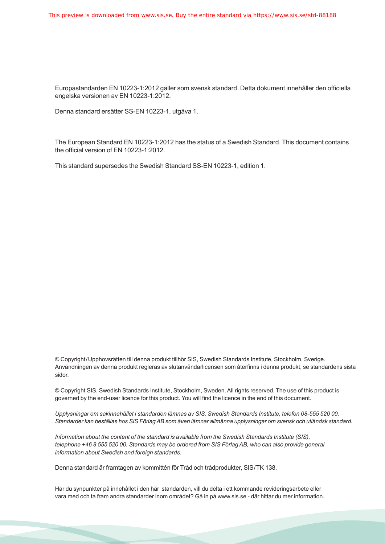Europastandarden EN 10223-1:2012 gäller som svensk standard. Detta dokument innehåller den officiella engelska versionen av EN 10223-1:2012.

Denna standard ersätter SS-EN 10223-1, utgåva 1.

The European Standard EN 10223-1:2012 has the status of a Swedish Standard. This document contains the official version of EN 10223-1:2012.

This standard supersedes the Swedish Standard SS-EN 10223-1, edition 1.

© Copyright / Upphovsrätten till denna produkt tillhör SIS, Swedish Standards Institute, Stockholm, Sverige. Användningen av denna produkt regleras av slutanvändarlicensen som återfinns i denna produkt, se standardens sista sidor.

© Copyright SIS, Swedish Standards Institute, Stockholm, Sweden. All rights reserved. The use of this product is governed by the end-user licence for this product. You will find the licence in the end of this document.

*Upplysningar om sakinnehållet i standarden lämnas av SIS, Swedish Standards Institute, telefon 08-555 520 00. Standarder kan beställas hos SIS Förlag AB som även lämnar allmänna upplysningar om svensk och utländsk standard.*

*Information about the content of the standard is available from the Swedish Standards Institute (SIS), telephone +46 8 555 520 00. Standards may be ordered from SIS Förlag AB, who can also provide general information about Swedish and foreign standards.*

Denna standard är framtagen av kommittén för Tråd och trådprodukter, SIS / TK 138.

Har du synpunkter på innehållet i den här standarden, vill du delta i ett kommande revideringsarbete eller vara med och ta fram andra standarder inom området? Gå in på www.sis.se - där hittar du mer information.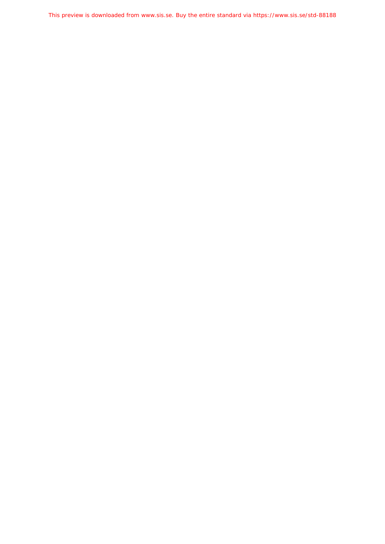This preview is downloaded from www.sis.se. Buy the entire standard via https://www.sis.se/std-88188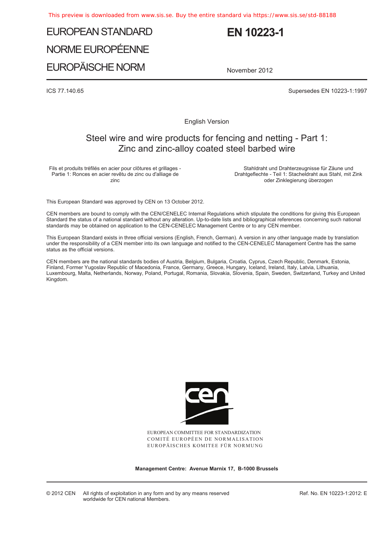## EUROPEAN STANDARD NORME EUROPÉENNE EUROPÄISCHE NORM

## **EN 10223-1**

November 2012

ICS 77.140.65 Supersedes EN 10223-1:1997

English Version

### Steel wire and wire products for fencing and netting - Part 1: Zinc and zinc-alloy coated steel barbed wire

Fils et produits tréfilés en acier pour clôtures et grillages - Partie 1: Ronces en acier revêtu de zinc ou d'alliage de zinc

Stahldraht und Drahterzeugnisse für Zäune und Drahtgeflechte - Teil 1: Stacheldraht aus Stahl, mit Zink oder Zinklegierung überzogen

This European Standard was approved by CEN on 13 October 2012.

CEN members are bound to comply with the CEN/CENELEC Internal Regulations which stipulate the conditions for giving this European Standard the status of a national standard without any alteration. Up-to-date lists and bibliographical references concerning such national standards may be obtained on application to the CEN-CENELEC Management Centre or to any CEN member.

This European Standard exists in three official versions (English, French, German). A version in any other language made by translation under the responsibility of a CEN member into its own language and notified to the CEN-CENELEC Management Centre has the same status as the official versions.

CEN members are the national standards bodies of Austria, Belgium, Bulgaria, Croatia, Cyprus, Czech Republic, Denmark, Estonia, Finland, Former Yugoslav Republic of Macedonia, France, Germany, Greece, Hungary, Iceland, Ireland, Italy, Latvia, Lithuania, Luxembourg, Malta, Netherlands, Norway, Poland, Portugal, Romania, Slovakia, Slovenia, Spain, Sweden, Switzerland, Turkey and United Kingdom.



EUROPEAN COMMITTEE FOR STANDARDIZATION COMITÉ EUROPÉEN DE NORMALISATION EUROPÄISCHES KOMITEE FÜR NORMUNG

**Management Centre: Avenue Marnix 17, B-1000 Brussels**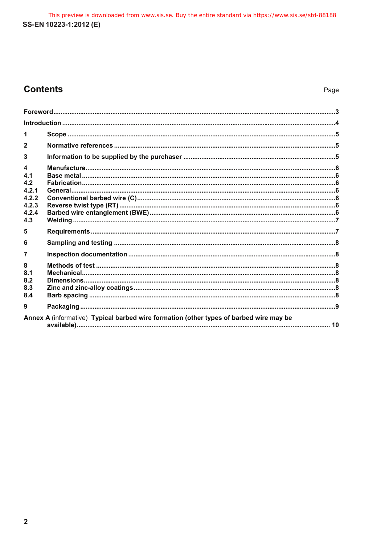This preview is downloaded from www.sis.se. Buy the entire standard via https://www.sis.se/std-88188 SS-EN 10223-1:2012 (E)

## **Contents**

Page

| $\mathbf{2}$                            |                                                                                        |  |
|-----------------------------------------|----------------------------------------------------------------------------------------|--|
| 3                                       |                                                                                        |  |
| 4<br>4.1<br>4.2                         |                                                                                        |  |
| 4.2.1<br>4.2.2<br>4.2.3<br>4.2.4<br>4.3 |                                                                                        |  |
| 5                                       |                                                                                        |  |
| 6                                       |                                                                                        |  |
|                                         |                                                                                        |  |
| 8<br>8.1<br>8.2<br>8.3<br>8.4           |                                                                                        |  |
| 9                                       |                                                                                        |  |
|                                         | Annex A (informative) Typical barbed wire formation (other types of barbed wire may be |  |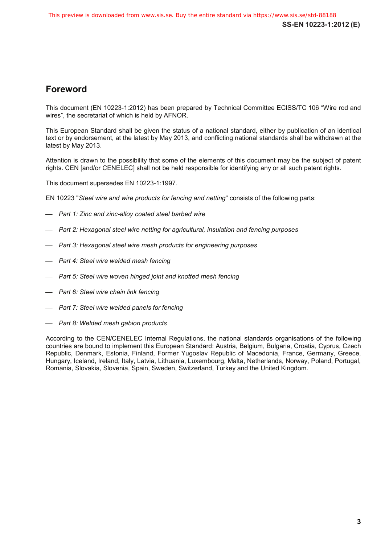### **Foreword**

This document (EN 10223-1:2012) has been prepared by Technical Committee ECISS/TC 106 "Wire rod and wires", the secretariat of which is held by AFNOR.

This European Standard shall be given the status of a national standard, either by publication of an identical text or by endorsement, at the latest by May 2013, and conflicting national standards shall be withdrawn at the latest by May 2013.

Attention is drawn to the possibility that some of the elements of this document may be the subject of patent rights. CEN [and/or CENELEC] shall not be held responsible for identifying any or all such patent rights.

This document supersedes EN 10223-1:1997.

EN 10223 "*Steel wire and wire products for fencing and netting*" consists of the following parts:

- *Part 1: Zinc and zinc-alloy coated steel barbed wire*
- *Part 2: Hexagonal steel wire netting for agricultural, insulation and fencing purposes*
- *Part 3: Hexagonal steel wire mesh products for engineering purposes*
- *Part 4: Steel wire welded mesh fencing*
- *Part 5: Steel wire woven hinged joint and knotted mesh fencing*
- *Part 6: Steel wire chain link fencing*
- *Part 7: Steel wire welded panels for fencing*
- *Part 8: Welded mesh gabion products*

According to the CEN/CENELEC Internal Regulations, the national standards organisations of the following countries are bound to implement this European Standard: Austria, Belgium, Bulgaria, Croatia, Cyprus, Czech Republic, Denmark, Estonia, Finland, Former Yugoslav Republic of Macedonia, France, Germany, Greece, Hungary, Iceland, Ireland, Italy, Latvia, Lithuania, Luxembourg, Malta, Netherlands, Norway, Poland, Portugal, Romania, Slovakia, Slovenia, Spain, Sweden, Switzerland, Turkey and the United Kingdom.